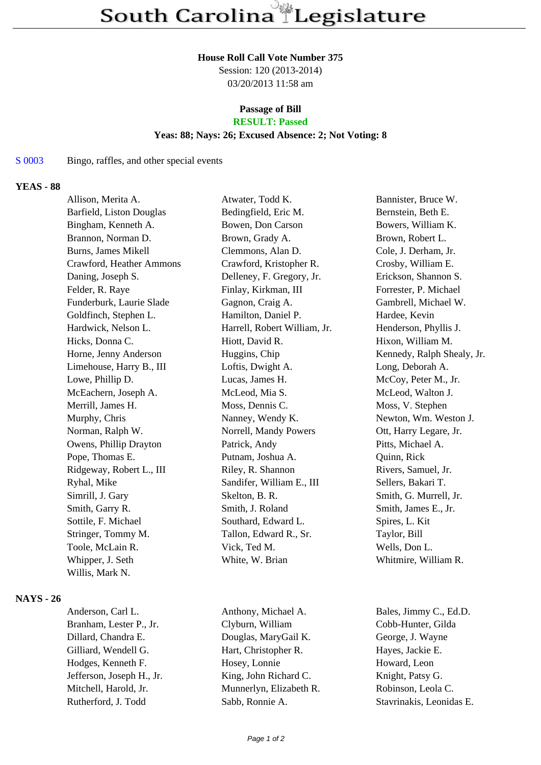#### **House Roll Call Vote Number 375**

Session: 120 (2013-2014) 03/20/2013 11:58 am

#### **Passage of Bill RESULT: Passed**

## **Yeas: 88; Nays: 26; Excused Absence: 2; Not Voting: 8**

#### S 0003 Bingo, raffles, and other special events

### **YEAS - 88**

| Allison, Merita A.       | Atwater, Todd K.             | Bannister, Bruce W.        |
|--------------------------|------------------------------|----------------------------|
| Barfield, Liston Douglas | Bedingfield, Eric M.         | Bernstein, Beth E.         |
| Bingham, Kenneth A.      | Bowen, Don Carson            | Bowers, William K.         |
| Brannon, Norman D.       | Brown, Grady A.              | Brown, Robert L.           |
| Burns, James Mikell      | Clemmons, Alan D.            | Cole, J. Derham, Jr.       |
| Crawford, Heather Ammons | Crawford, Kristopher R.      | Crosby, William E.         |
| Daning, Joseph S.        | Delleney, F. Gregory, Jr.    | Erickson, Shannon S.       |
| Felder, R. Raye          | Finlay, Kirkman, III         | Forrester, P. Michael      |
| Funderburk, Laurie Slade | Gagnon, Craig A.             | Gambrell, Michael W.       |
| Goldfinch, Stephen L.    | Hamilton, Daniel P.          | Hardee, Kevin              |
| Hardwick, Nelson L.      | Harrell, Robert William, Jr. | Henderson, Phyllis J.      |
| Hicks, Donna C.          | Hiott, David R.              | Hixon, William M.          |
| Horne, Jenny Anderson    | Huggins, Chip                | Kennedy, Ralph Shealy, Jr. |
| Limehouse, Harry B., III | Loftis, Dwight A.            | Long, Deborah A.           |
| Lowe, Phillip D.         | Lucas, James H.              | McCoy, Peter M., Jr.       |
| McEachern, Joseph A.     | McLeod, Mia S.               | McLeod, Walton J.          |
| Merrill, James H.        | Moss, Dennis C.              | Moss, V. Stephen           |
| Murphy, Chris            | Nanney, Wendy K.             | Newton, Wm. Weston J.      |
| Norman, Ralph W.         | Norrell, Mandy Powers        | Ott, Harry Legare, Jr.     |
| Owens, Phillip Drayton   | Patrick, Andy                | Pitts, Michael A.          |
| Pope, Thomas E.          | Putnam, Joshua A.            | Quinn, Rick                |
| Ridgeway, Robert L., III | Riley, R. Shannon            | Rivers, Samuel, Jr.        |
| Ryhal, Mike              | Sandifer, William E., III    | Sellers, Bakari T.         |
| Simrill, J. Gary         | Skelton, B. R.               | Smith, G. Murrell, Jr.     |
| Smith, Garry R.          | Smith, J. Roland             | Smith, James E., Jr.       |
| Sottile, F. Michael      | Southard, Edward L.          | Spires, L. Kit             |
| Stringer, Tommy M.       | Tallon, Edward R., Sr.       | Taylor, Bill               |
| Toole, McLain R.         | Vick, Ted M.                 | Wells, Don L.              |
| Whipper, J. Seth         | White, W. Brian              | Whitmire, William R.       |
| Willis, Mark N.          |                              |                            |
|                          |                              |                            |

#### **NAYS - 26**

Anderson, Carl L. Anthony, Michael A. Bales, Jimmy C., Ed.D.

Branham, Lester P., Jr. Clyburn, William Cobb-Hunter, Gilda Dillard, Chandra E. Douglas, MaryGail K. George, J. Wayne Gilliard, Wendell G. **Hart, Christopher R.** Hayes, Jackie E. Hodges, Kenneth F. Hosey, Lonnie Howard, Leon Jefferson, Joseph H., Jr. King, John Richard C. Knight, Patsy G. Mitchell, Harold, Jr. Munnerlyn, Elizabeth R. Robinson, Leola C.

Rutherford, J. Todd Sabb, Ronnie A. Stavrinakis, Leonidas E.